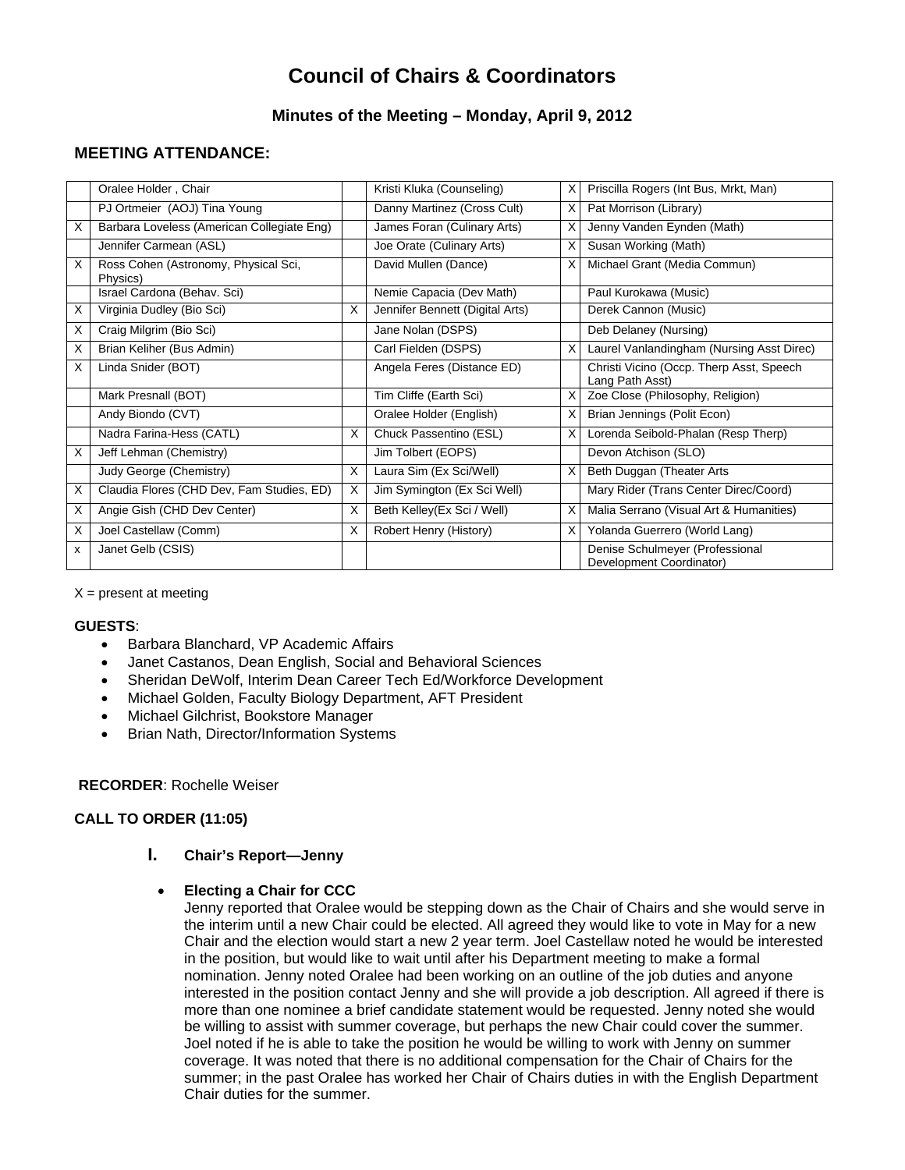# **Council of Chairs & Coordinators**

# **Minutes of the Meeting – Monday, April 9, 2012**

# **MEETING ATTENDANCE:**

|   | Oralee Holder, Chair                             |   | Kristi Kluka (Counseling)       | х | Priscilla Rogers (Int Bus, Mrkt, Man)                       |
|---|--------------------------------------------------|---|---------------------------------|---|-------------------------------------------------------------|
|   | PJ Ortmeier (AOJ) Tina Young                     |   | Danny Martinez (Cross Cult)     | X | Pat Morrison (Library)                                      |
| X | Barbara Loveless (American Collegiate Eng)       |   | James Foran (Culinary Arts)     | X | Jenny Vanden Eynden (Math)                                  |
|   | Jennifer Carmean (ASL)                           |   | Joe Orate (Culinary Arts)       | X | Susan Working (Math)                                        |
| X | Ross Cohen (Astronomy, Physical Sci,<br>Physics) |   | David Mullen (Dance)            | X | Michael Grant (Media Commun)                                |
|   | Israel Cardona (Behav. Sci)                      |   | Nemie Capacia (Dev Math)        |   | Paul Kurokawa (Music)                                       |
| X | Virginia Dudley (Bio Sci)                        | X | Jennifer Bennett (Digital Arts) |   | Derek Cannon (Music)                                        |
| X | Craig Milgrim (Bio Sci)                          |   | Jane Nolan (DSPS)               |   | Deb Delaney (Nursing)                                       |
| X | Brian Keliher (Bus Admin)                        |   | Carl Fielden (DSPS)             | X | Laurel Vanlandingham (Nursing Asst Direc)                   |
| X | Linda Snider (BOT)                               |   | Angela Feres (Distance ED)      |   | Christi Vicino (Occp. Therp Asst, Speech<br>Lang Path Asst) |
|   | Mark Presnall (BOT)                              |   | Tim Cliffe (Earth Sci)          |   | Zoe Close (Philosophy, Religion)                            |
|   | Andy Biondo (CVT)                                |   | Oralee Holder (English)         | X | Brian Jennings (Polit Econ)                                 |
|   | Nadra Farina-Hess (CATL)                         | X | Chuck Passentino (ESL)          | X | Lorenda Seibold-Phalan (Resp Therp)                         |
| X | Jeff Lehman (Chemistry)                          |   | Jim Tolbert (EOPS)              |   | Devon Atchison (SLO)                                        |
|   | Judy George (Chemistry)                          | X | Laura Sim (Ex Sci/Well)         | X | Beth Duggan (Theater Arts                                   |
| X | Claudia Flores (CHD Dev, Fam Studies, ED)        | X | Jim Symington (Ex Sci Well)     |   | Mary Rider (Trans Center Direc/Coord)                       |
| X | Angie Gish (CHD Dev Center)                      | X | Beth Kelley(Ex Sci / Well)      | X | Malia Serrano (Visual Art & Humanities)                     |
| X | Joel Castellaw (Comm)                            | X | Robert Henry (History)          |   | Yolanda Guerrero (World Lang)                               |
| x | Janet Gelb (CSIS)                                |   |                                 |   | Denise Schulmeyer (Professional<br>Development Coordinator) |

 $X =$  present at meeting

#### **GUESTS**:

- Barbara Blanchard, VP Academic Affairs
- Janet Castanos, Dean English, Social and Behavioral Sciences
- Sheridan DeWolf, Interim Dean Career Tech Ed/Workforce Development
- Michael Golden, Faculty Biology Department, AFT President
- Michael Gilchrist, Bookstore Manager
- Brian Nath, Director/Information Systems

#### **RECORDER**: Rochelle Weiser

## **CALL TO ORDER (11:05)**

**I. Chair's Report—Jenny** 

#### **Electing a Chair for CCC**

Jenny reported that Oralee would be stepping down as the Chair of Chairs and she would serve in the interim until a new Chair could be elected. All agreed they would like to vote in May for a new Chair and the election would start a new 2 year term. Joel Castellaw noted he would be interested in the position, but would like to wait until after his Department meeting to make a formal nomination. Jenny noted Oralee had been working on an outline of the job duties and anyone interested in the position contact Jenny and she will provide a job description. All agreed if there is more than one nominee a brief candidate statement would be requested. Jenny noted she would be willing to assist with summer coverage, but perhaps the new Chair could cover the summer. Joel noted if he is able to take the position he would be willing to work with Jenny on summer coverage. It was noted that there is no additional compensation for the Chair of Chairs for the summer; in the past Oralee has worked her Chair of Chairs duties in with the English Department Chair duties for the summer.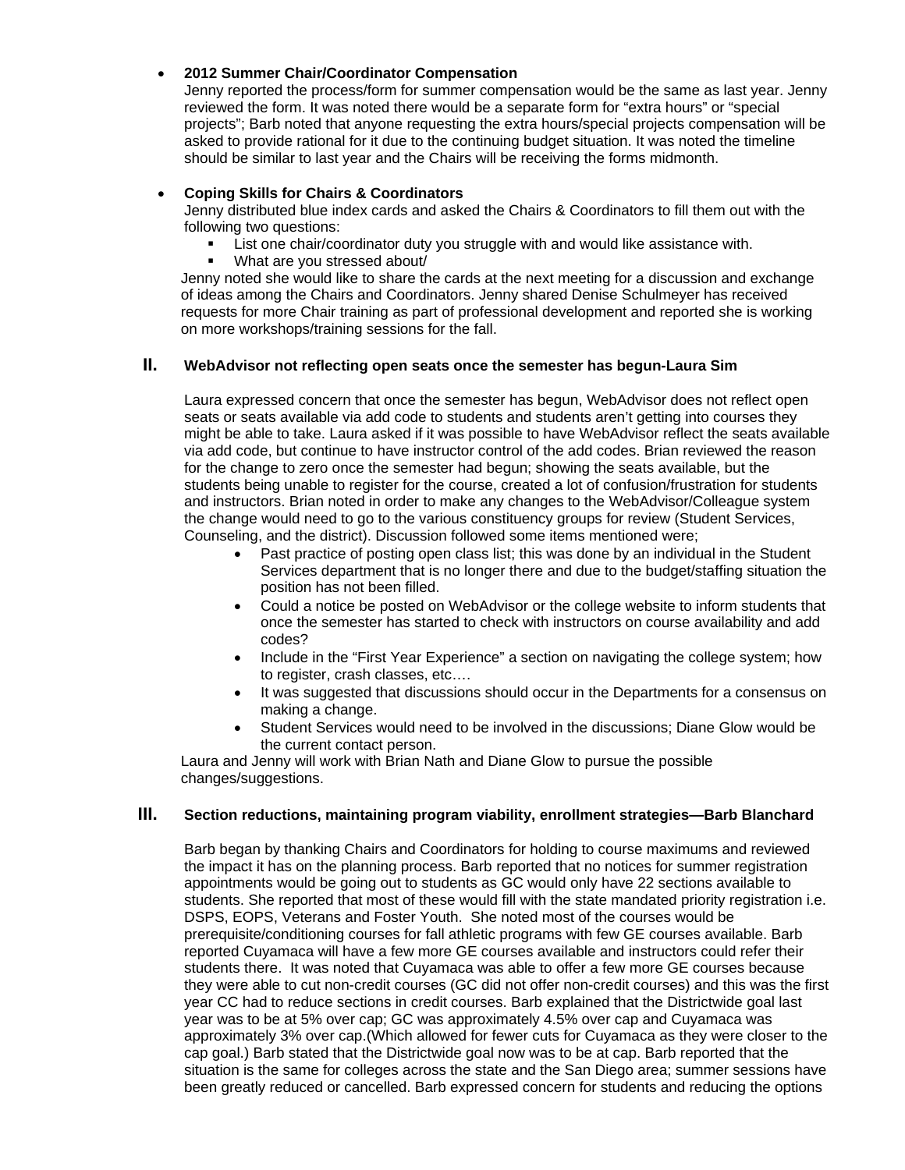## **2012 Summer Chair/Coordinator Compensation**

Jenny reported the process/form for summer compensation would be the same as last year. Jenny reviewed the form. It was noted there would be a separate form for "extra hours" or "special projects"; Barb noted that anyone requesting the extra hours/special projects compensation will be asked to provide rational for it due to the continuing budget situation. It was noted the timeline should be similar to last year and the Chairs will be receiving the forms midmonth.

### **Coping Skills for Chairs & Coordinators**

Jenny distributed blue index cards and asked the Chairs & Coordinators to fill them out with the following two questions:

- List one chair/coordinator duty you struggle with and would like assistance with.
- What are you stressed about/

Jenny noted she would like to share the cards at the next meeting for a discussion and exchange of ideas among the Chairs and Coordinators. Jenny shared Denise Schulmeyer has received requests for more Chair training as part of professional development and reported she is working on more workshops/training sessions for the fall.

# **II. WebAdvisor not reflecting open seats once the semester has begun-Laura Sim**

Laura expressed concern that once the semester has begun, WebAdvisor does not reflect open seats or seats available via add code to students and students aren't getting into courses they might be able to take. Laura asked if it was possible to have WebAdvisor reflect the seats available via add code, but continue to have instructor control of the add codes. Brian reviewed the reason for the change to zero once the semester had begun; showing the seats available, but the students being unable to register for the course, created a lot of confusion/frustration for students and instructors. Brian noted in order to make any changes to the WebAdvisor/Colleague system the change would need to go to the various constituency groups for review (Student Services, Counseling, and the district). Discussion followed some items mentioned were;

- Past practice of posting open class list; this was done by an individual in the Student Services department that is no longer there and due to the budget/staffing situation the position has not been filled.
- Could a notice be posted on WebAdvisor or the college website to inform students that once the semester has started to check with instructors on course availability and add codes?
- Include in the "First Year Experience" a section on navigating the college system; how to register, crash classes, etc….
- It was suggested that discussions should occur in the Departments for a consensus on making a change.
- Student Services would need to be involved in the discussions; Diane Glow would be the current contact person.

Laura and Jenny will work with Brian Nath and Diane Glow to pursue the possible changes/suggestions.

### **III. Section reductions, maintaining program viability, enrollment strategies—Barb Blanchard**

Barb began by thanking Chairs and Coordinators for holding to course maximums and reviewed the impact it has on the planning process. Barb reported that no notices for summer registration appointments would be going out to students as GC would only have 22 sections available to students. She reported that most of these would fill with the state mandated priority registration i.e. DSPS, EOPS, Veterans and Foster Youth. She noted most of the courses would be prerequisite/conditioning courses for fall athletic programs with few GE courses available. Barb reported Cuyamaca will have a few more GE courses available and instructors could refer their students there. It was noted that Cuyamaca was able to offer a few more GE courses because they were able to cut non-credit courses (GC did not offer non-credit courses) and this was the first year CC had to reduce sections in credit courses. Barb explained that the Districtwide goal last year was to be at 5% over cap; GC was approximately 4.5% over cap and Cuyamaca was approximately 3% over cap.(Which allowed for fewer cuts for Cuyamaca as they were closer to the cap goal.) Barb stated that the Districtwide goal now was to be at cap. Barb reported that the situation is the same for colleges across the state and the San Diego area; summer sessions have been greatly reduced or cancelled. Barb expressed concern for students and reducing the options